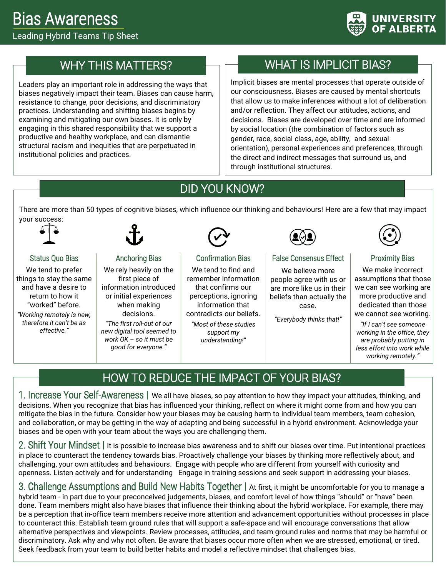

# WHY THIS MATTERS?

Leaders play an important role in addressing the ways that biases negatively impact their team. Biases can cause harm, resistance to change, poor decisions, and discriminatory practices. Understanding and shifting biases begins by examining and mitigating our own biases. It is only by engaging in this shared responsibility that we support a productive and healthy workplace, and can dismantle structural racism and inequities that are perpetuated in institutional policies and practices.

# WHAT IS IMPLICIT BIAS?

Implicit biases are mental processes that operate outside of our consciousness. Biases are caused by mental shortcuts that allow us to make inferences without a lot of deliberation and/or reflection. They affect our attitudes, actions, and decisions. Biases are developed over time and are informed by social location (the combination of factors such as gender, race, social class, age, ability, and sexual orientation), personal experiences and preferences, through the direct and indirect messages that surround us, and through institutional structures.

## DID YOU KNOW?

There are more than 50 types of cognitive biases, which influence our thinking and behaviours! Here are a few that may impact your success:



Status Quo Bias We tend to prefer things to stay the same and have a desire to return to how it "worked" before. *"Working remotely is new, therefore it can't be as effective."*

#### Anchoring Bias

We rely heavily on the first piece of information introduced or initial experiences when making decisions.

*"The first roll-out of our new digital tool seemed to work OK – so it must be good for everyone."*



#### Confirmation Bias

We tend to find and remember information that confirms our perceptions, ignoring information that contradicts our beliefs. *"Most of these studies support my understanding!"*



#### False Consensus Effect

We believe more people agree with us or are more like us in their beliefs than actually the case.

*"Everybody thinks that!"*



#### Proximity Bias

We make incorrect assumptions that those we can see working are more productive and dedicated than those we cannot see working.

*"If I can't see someone working in the office, they are probably putting in less effort into work while working remotely."*

# HOW TO REDUCE THE IMPACT OF YOUR BIAS?

1. Increase Your Self-Awareness **|** We all have biases, so pay attention to how they impact your attitudes, thinking, and decisions. When you recognize that bias has influenced your thinking, reflect on where it might come from and how you can mitigate the bias in the future. Consider how your biases may be causing harm to individual team members, team cohesion, and collaboration, or may be getting in the way of adapting and being successful in a hybrid environment. Acknowledge your biases and be open with your team about the ways you are challenging them.

2. Shift Your Mindset **|** It is possible to increase bias awareness and to shift our biases over time. Put intentional practices in place to counteract the tendency towards bias. Proactively challenge your biases by thinking more reflectively about, and challenging, your own attitudes and behaviours. Engage with people who are different from yourself with curiosity and openness. Listen actively and for understanding Engage in training sessions and seek support in addressing your biases.

3. Challenge Assumptions and Build New Habits Together **|** At first, it might be uncomfortable for you to manage a hybrid team - in part due to your preconceived judgements, biases, and comfort level of how things "should" or "have" been done. Team members might also have biases that influence their thinking about the hybrid workplace. For example, there may be a perception that in-office team members receive more attention and advancement opportunities without processes in place to counteract this. Establish team ground rules that will support a safe-space and will encourage conversations that allow alternative perspectives and viewpoints. Review processes, attitudes, and team ground rules and norms that may be harmful or discriminatory. Ask why and why not often. Be aware that biases occur more often when we are stressed, emotional, or tired. Seek feedback from your team to build better habits and model a reflective mindset that challenges bias.